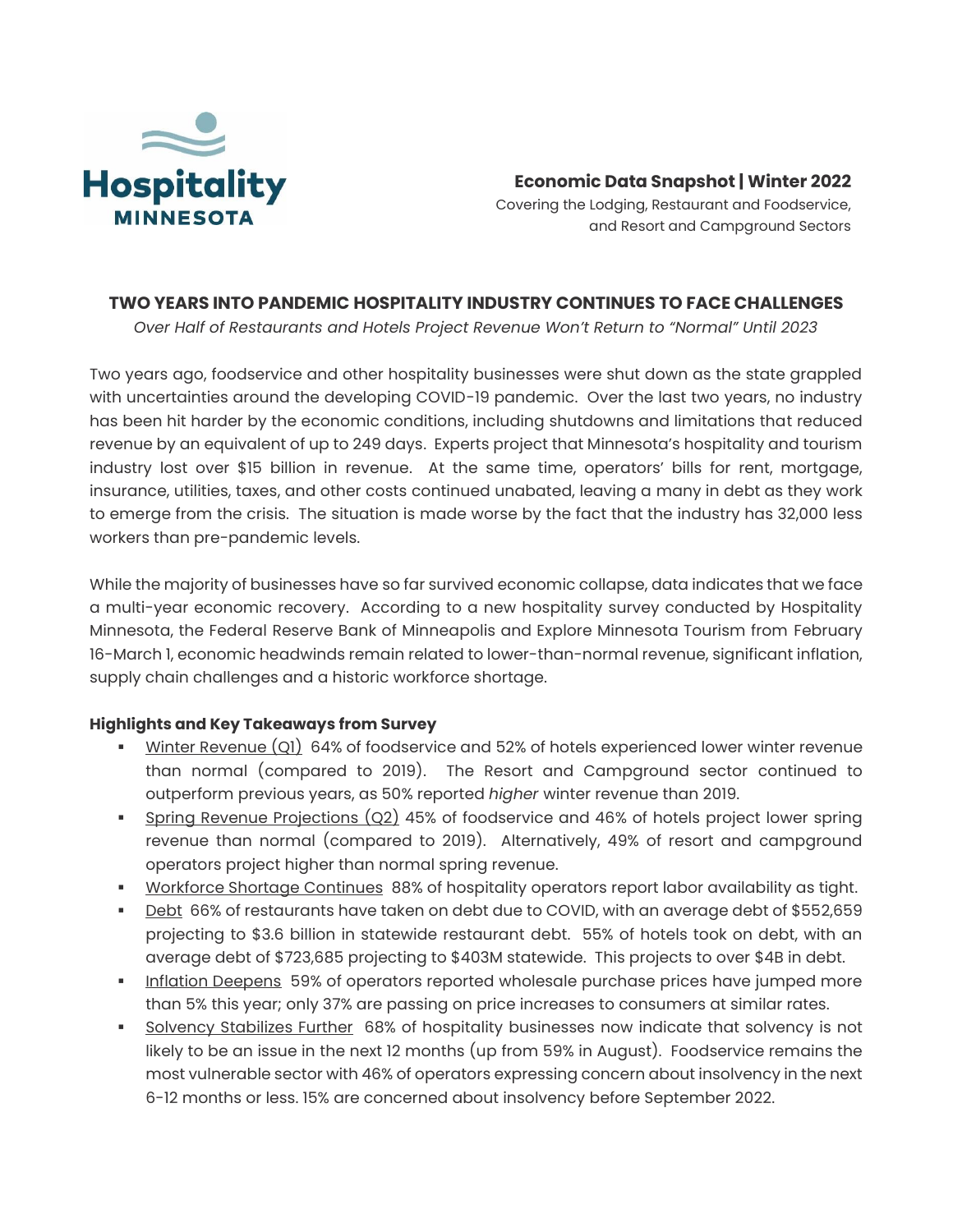

**Economic Data Snapshot | Winter 2022**

Covering the Lodging, Restaurant and Foodservice, and Resort and Campground Sectors

# **TWO YEARS INTO PANDEMIC HOSPITALITY INDUSTRY CONTINUES TO FACE CHALLENGES**

*Over Half of Restaurants and Hotels Project Revenue Won't Return to "Normal" Until 2023*

Two years ago, foodservice and other hospitality businesses were shut down as the state grappled with uncertainties around the developing COVID-19 pandemic. Over the last two years, no industry has been hit harder by the economic conditions, including shutdowns and limitations that reduced revenue by an equivalent of up to 249 days. Experts project that Minnesota's hospitality and tourism industry lost over \$15 billion in revenue. At the same time, operators' bills for rent, mortgage, insurance, utilities, taxes, and other costs continued unabated, leaving a many in debt as they work to emerge from the crisis. The situation is made worse by the fact that the industry has 32,000 less workers than pre-pandemic levels.

While the majority of businesses have so far survived economic collapse, data indicates that we face a multi-year economic recovery. According to a new hospitality survey conducted by Hospitality Minnesota, the Federal Reserve Bank of Minneapolis and Explore Minnesota Tourism from February 16-March 1, economic headwinds remain related to lower-than-normal revenue, significant inflation, supply chain challenges and a historic workforce shortage.

## **Highlights and Key Takeaways from Survey**

- Winter Revenue  $(Q_1)$  64% of foodservice and 52% of hotels experienced lower winter revenue than normal (compared to 2019). The Resort and Campground sector continued to outperform previous years, as 50% reported *higher* winter revenue than 2019.
- **EXECT** Spring Revenue Projections (Q2) 45% of foodservice and 46% of hotels project lower spring revenue than normal (compared to 2019). Alternatively, 49% of resort and campground operators project higher than normal spring revenue.
- **EXECT:** Workforce Shortage Continues 88% of hospitality operators report labor availability as tight.
- **Debt 66% of restaurants have taken on debt due to COVID, with an average debt of \$552,659** projecting to \$3.6 billion in statewide restaurant debt. 55% of hotels took on debt, with an average debt of \$723,685 projecting to \$403M statewide. This projects to over \$4B in debt.
- **.** Inflation Deepens 59% of operators reported wholesale purchase prices have jumped more than 5% this year; only 37% are passing on price increases to consumers at similar rates.
- **•** Solvency Stabilizes Further 68% of hospitality businesses now indicate that solvency is not likely to be an issue in the next 12 months (up from 59% in August). Foodservice remains the most vulnerable sector with 46% of operators expressing concern about insolvency in the next 6-12 months or less. 15% are concerned about insolvency before September 2022.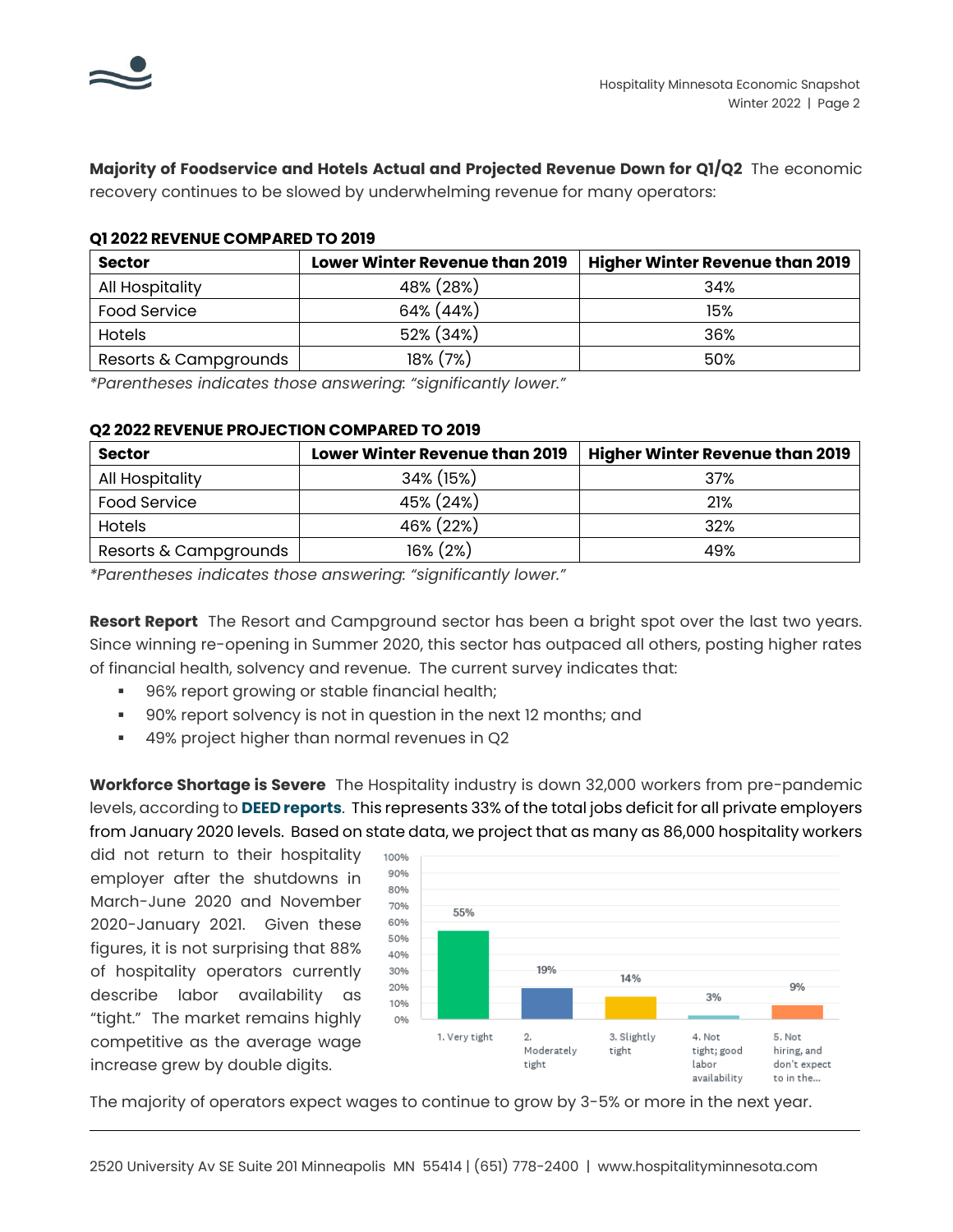

**Majority of Foodservice and Hotels Actual and Projected Revenue Down for Q1/Q2** The economic recovery continues to be slowed by underwhelming revenue for many operators:

### **Q1 2022 REVENUE COMPARED TO 2019**

| <b>Sector</b>         | Lower Winter Revenue than 2019 | <b>Higher Winter Revenue than 2019</b> |
|-----------------------|--------------------------------|----------------------------------------|
| All Hospitality       | 48% (28%)                      | 34%                                    |
| <b>Food Service</b>   | 64% (44%)                      | 15%                                    |
| <b>Hotels</b>         | 52% (34%)                      | 36%                                    |
| Resorts & Campgrounds | 18% (7%)                       | .50%                                   |

*\*Parentheses indicates those answering: "significantly lower."*

### **Q2 2022 REVENUE PROJECTION COMPARED TO 2019**

| <b>Sector</b>         | <b>Lower Winter Revenue than 2019</b> | <b>Higher Winter Revenue than 2019</b> |
|-----------------------|---------------------------------------|----------------------------------------|
| All Hospitality       | 34% (15%)                             | 37%                                    |
| <b>Food Service</b>   | 45% (24%)                             | 21%                                    |
| <b>Hotels</b>         | 46% (22%)                             | 32%                                    |
| Resorts & Campgrounds | $16\% (2\%)$                          | 49%                                    |

*\*Parentheses indicates those answering: "significantly lower."*

**Resort Report** The Resort and Campground sector has been a bright spot over the last two years. Since winning re-opening in Summer 2020, this sector has outpaced all others, posting higher rates of financial health, solvency and revenue. The current survey indicates that:

- 96% report growing or stable financial health;
- 90% report solvency is not in question in the next 12 months; and
- 49% project higher than normal revenues in Q2

**Workforce Shortage is Severe** The Hospitality industry is down 32,000 workers from pre-pandemic levels, according to **[DEED reports](https://apps.deed.state.mn.us/lmi/ces/Results.aspx)**. This represents 33% of the total jobs deficit for all private employers from January 2020 levels. Based on state data, we project that as many as 86,000 hospitality workers

did not return to their hospitality employer after the shutdowns in March-June 2020 and November 2020-January 2021. Given these figures, it is not surprising that 88% of hospitality operators currently describe labor availability as "tight." The market remains highly competitive as the average wage increase grew by double digits.



The majority of operators expect wages to continue to grow by 3-5% or more in the next year.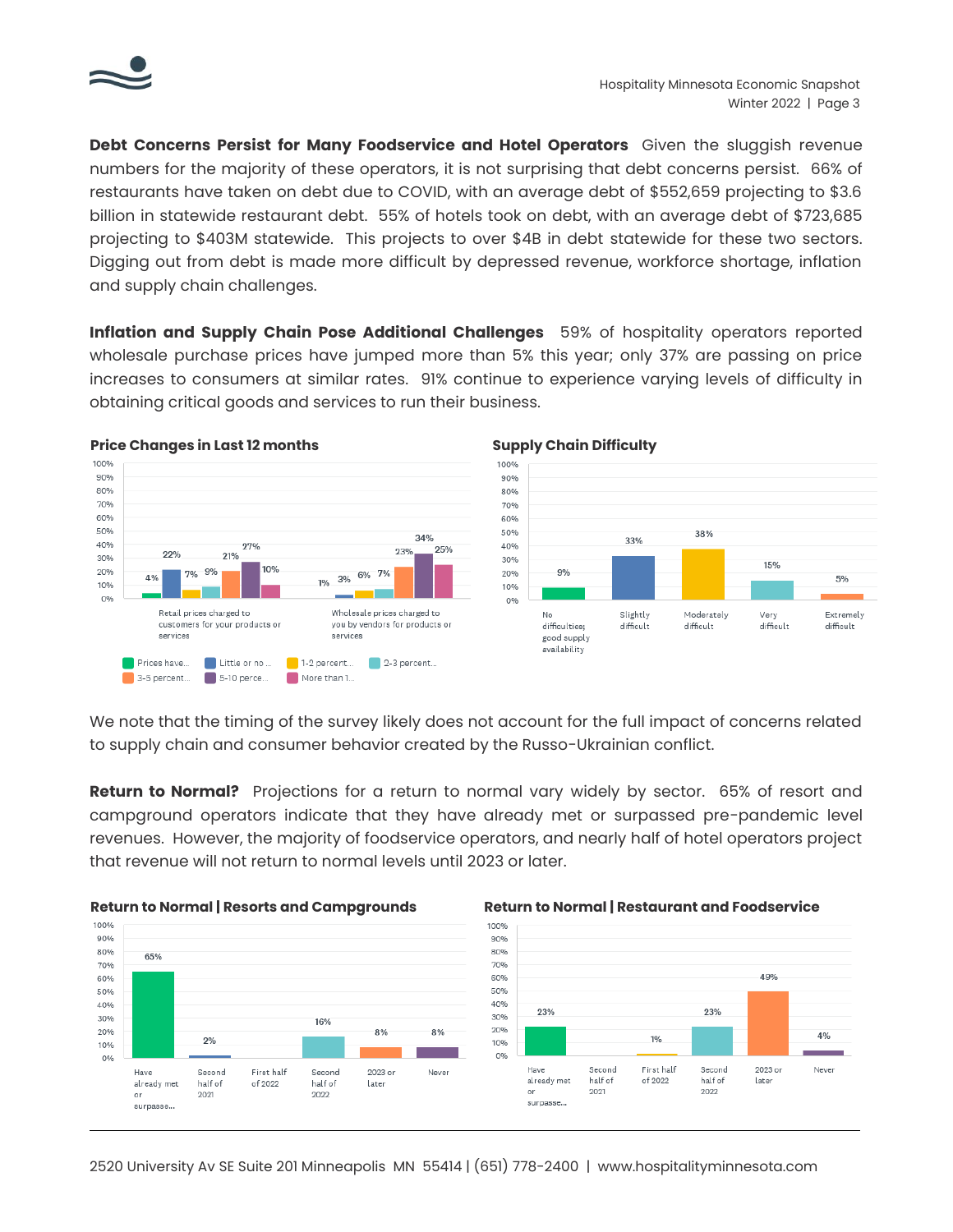

**Debt Concerns Persist for Many Foodservice and Hotel Operators** Given the sluggish revenue numbers for the majority of these operators, it is not surprising that debt concerns persist. 66% of restaurants have taken on debt due to COVID, with an average debt of \$552,659 projecting to \$3.6 billion in statewide restaurant debt. 55% of hotels took on debt, with an average debt of \$723,685 projecting to \$403M statewide. This projects to over \$4B in debt statewide for these two sectors. Digging out from debt is made more difficult by depressed revenue, workforce shortage, inflation and supply chain challenges.

**Inflation and Supply Chain Pose Additional Challenges** 59% of hospitality operators reported wholesale purchase prices have jumped more than 5% this year; only 37% are passing on price increases to consumers at similar rates. 91% continue to experience varying levels of difficulty in obtaining critical goods and services to run their business.





We note that the timing of the survey likely does not account for the full impact of concerns related to supply chain and consumer behavior created by the Russo-Ukrainian conflict.

**Return to Normal?** Projections for a return to normal vary widely by sector. 65% of resort and campground operators indicate that they have already met or surpassed pre-pandemic level revenues. However, the majority of foodservice operators, and nearly half of hotel operators project that revenue will not return to normal levels until 2023 or later.